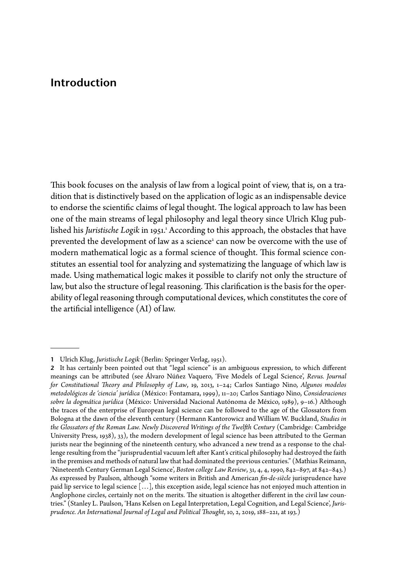## **Introduction**

This book focuses on the analysis of law from a logical point of view, that is, on a tradition that is distinctively based on the application of logic as an indispensable device to endorse the scientific claims of legal thought. The logical approach to law has been one of the main streams of legal philosophy and legal theory since Ulrich Klug published his *Juristische Logik* in 1951.<sup>1</sup> According to this approach, the obstacles that have prevented the development of law as a science<sup>2</sup> can now be overcome with the use of modern mathematical logic as a formal science of thought. This formal science constitutes an essential tool for analyzing and systematizing the language of which law is made. Using mathematical logic makes it possible to clarify not only the structure of law, but also the structure of legal reasoning. This clarification is the basis for the operability of legal reasoning through computational devices, which constitutes the core of the artificial intelligence (AI) of law.

**<sup>1</sup>** Ulrich Klug, *Juristische Logik* (Berlin: Springer Verlag, 1951).

**<sup>2</sup>** It has certainly been pointed out that "legal science" is an ambiguous expression, to which different meanings can be attributed (see Álvaro Núñez Vaquero, 'Five Models of Legal Science', *Revus. Journal for Constitutional Theory and Philosophy of Law*, 19, 2013, 1–24; Carlos Santiago Nino, *Algunos modelos metodológicos de 'ciencia' jurídica* (México: Fontamara, 1999), 11–20; Carlos Santiago Nino, *Consideraciones sobre la dogmática jurídica* (México: Universidad Nacional Autónoma de México, 1989), 9–16.) Although the traces of the enterprise of European legal science can be followed to the age of the Glossators from Bologna at the dawn of the eleventh century (Hermann Kantorowicz and William W. Buckland, *Studies in the Glossators of the Roman Law. Newly Discovered Writings of the Twelfth Century* (Cambridge: Cambridge University Press, 1938), 33), the modern development of legal science has been attributed to the German jurists near the beginning of the nineteenth century, who advanced a new trend as a response to the challenge resulting from the "jurisprudential vacuum left after Kant's critical philosophy had destroyed the faith in the premises and methods of natural law that had dominated the previous centuries." (Mathias Reimann, 'Nineteenth Century German Legal Science', *Boston college Law Review*, 31, 4, 4, 1990, 842–897, at 842–843.) As expressed by Paulson, although "some writers in British and American *fin-de-siècle* jurisprudence have paid lip service to legal science […], this exception aside, legal science has not enjoyed much attention in Anglophone circles, certainly not on the merits. The situation is altogether different in the civil law countries." (Stanley L. Paulson, 'Hans Kelsen on Legal Interpretation, Legal Cognition, and Legal Science', *Jurisprudence. An International Journal of Legal and Political Thought*, 10, 2, 2019, 188–221, at 193.)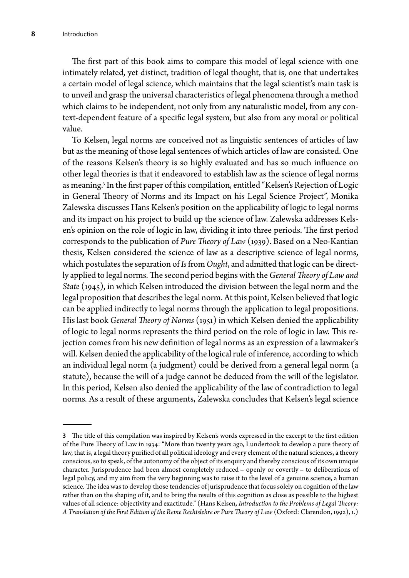The first part of this book aims to compare this model of legal science with one intimately related, yet distinct, tradition of legal thought, that is, one that undertakes a certain model of legal science, which maintains that the legal scientist's main task is to unveil and grasp the universal characteristics of legal phenomena through a method which claims to be independent, not only from any naturalistic model, from any context-dependent feature of a specific legal system, but also from any moral or political value.

To Kelsen, legal norms are conceived not as linguistic sentences of articles of law but as the meaning of those legal sentences of which articles of law are consisted. One of the reasons Kelsen's theory is so highly evaluated and has so much influence on other legal theories is that it endeavored to establish law as the science of legal norms as meaning. 3 In the first paper of this compilation, entitled "Kelsen's Rejection of Logic in General Theory of Norms and its Impact on his Legal Science Project", Monika Zalewska discusses Hans Kelsen's position on the applicability of logic to legal norms and its impact on his project to build up the science of law. Zalewska addresses Kelsen's opinion on the role of logic in law, dividing it into three periods. The first period corresponds to the publication of *Pure Theory of Law* (1939). Based on a Neo-Kantian thesis, Kelsen considered the science of law as a descriptive science of legal norms, which postulates the separation of *Is* from *Ought*, and admitted that logic can be directly applied to legal norms. The second period begins with the *General Theory of Law and State* (1945), in which Kelsen introduced the division between the legal norm and the legal proposition that describes the legal norm. At this point, Kelsen believed that logic can be applied indirectly to legal norms through the application to legal propositions. His last book *General Theory of Norms* (1951) in which Kelsen denied the applicability of logic to legal norms represents the third period on the role of logic in law. This rejection comes from his new definition of legal norms as an expression of a lawmaker's will. Kelsen denied the applicability of the logical rule of inference, according to which an individual legal norm (a judgment) could be derived from a general legal norm (a statute), because the will of a judge cannot be deduced from the will of the legislator. In this period, Kelsen also denied the applicability of the law of contradiction to legal norms. As a result of these arguments, Zalewska concludes that Kelsen's legal science

**<sup>3</sup>** The title of this compilation was inspired by Kelsen's words expressed in the excerpt to the first edition of the Pure Theory of Law in 1934: "More than twenty years ago, I undertook to develop a pure theory of law, that is, a legal theory purified of all political ideology and every element of the natural sciences, a theory conscious, so to speak, of the autonomy of the object of its enquiry and thereby conscious of its own unique character. Jurisprudence had been almost completely reduced – openly or covertly – to deliberations of legal policy, and my aim from the very beginning was to raise it to the level of a genuine science, a human science. The idea was to develop those tendencies of jurisprudence that focus solely on cognition of the law rather than on the shaping of it, and to bring the results of this cognition as close as possible to the highest values of all science: objectivity and exactitude." (Hans Kelsen, *Introduction to the Problems of Legal Theory: A Translation of the First Edition of the Reine Rechtslehre or Pure Theory of Law* (Oxford: Clarendon, 1992), 1.)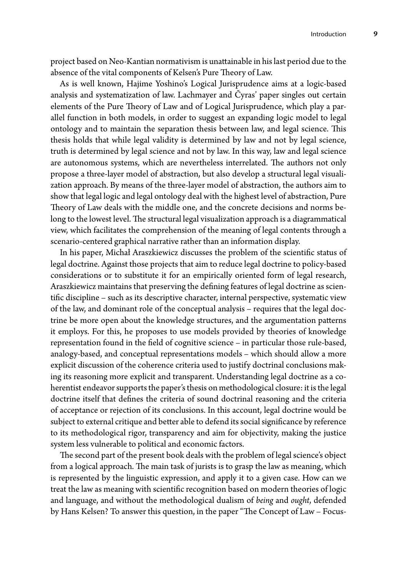project based on Neo-Kantian normativism is unattainable in his last period due to the absence of the vital components of Kelsen's Pure Theory of Law.

As is well known, Hajime Yoshino's Logical Jurisprudence aims at a logic-based analysis and systematization of law. Lachmayer and Čyras' paper singles out certain elements of the Pure Theory of Law and of Logical Jurisprudence, which play a parallel function in both models, in order to suggest an expanding logic model to legal ontology and to maintain the separation thesis between law, and legal science. This thesis holds that while legal validity is determined by law and not by legal science, truth is determined by legal science and not by law. In this way, law and legal science are autonomous systems, which are nevertheless interrelated. The authors not only propose a three-layer model of abstraction, but also develop a structural legal visualization approach. By means of the three-layer model of abstraction, the authors aim to show that legal logic and legal ontology deal with the highest level of abstraction, Pure Theory of Law deals with the middle one, and the concrete decisions and norms belong to the lowest level. The structural legal visualization approach is a diagrammatical view, which facilitates the comprehension of the meaning of legal contents through a scenario-centered graphical narrative rather than an information display.

In his paper, Michał Araszkiewicz discusses the problem of the scientific status of legal doctrine. Against those projects that aim to reduce legal doctrine to policy-based considerations or to substitute it for an empirically oriented form of legal research, Araszkiewicz maintains that preserving the defining features of legal doctrine as scientific discipline – such as its descriptive character, internal perspective, systematic view of the law, and dominant role of the conceptual analysis – requires that the legal doctrine be more open about the knowledge structures, and the argumentation patterns it employs. For this, he proposes to use models provided by theories of knowledge representation found in the field of cognitive science – in particular those rule-based, analogy-based, and conceptual representations models – which should allow a more explicit discussion of the coherence criteria used to justify doctrinal conclusions making its reasoning more explicit and transparent. Understanding legal doctrine as a coherentist endeavor supports the paper's thesis on methodological closure: it is the legal doctrine itself that defines the criteria of sound doctrinal reasoning and the criteria of acceptance or rejection of its conclusions. In this account, legal doctrine would be subject to external critique and better able to defend its social significance by reference to its methodological rigor, transparency and aim for objectivity, making the justice system less vulnerable to political and economic factors.

The second part of the present book deals with the problem of legal science's object from a logical approach. The main task of jurists is to grasp the law as meaning, which is represented by the linguistic expression, and apply it to a given case. How can we treat the law as meaning with scientific recognition based on modern theories of logic and language, and without the methodological dualism of *being* and *ought*, defended by Hans Kelsen? To answer this question, in the paper "The Concept of Law – Focus-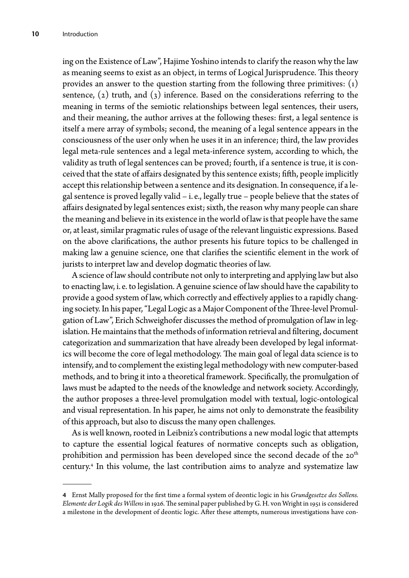ing on the Existence of Law", Hajime Yoshino intends to clarify the reason why the law as meaning seems to exist as an object, in terms of Logical Jurisprudence. This theory provides an answer to the question starting from the following three primitives:  $(i)$ sentence,  $(z)$  truth, and  $(z)$  inference. Based on the considerations referring to the meaning in terms of the semiotic relationships between legal sentences, their users, and their meaning, the author arrives at the following theses: first, a legal sentence is itself a mere array of symbols; second, the meaning of a legal sentence appears in the consciousness of the user only when he uses it in an inference; third, the law provides legal meta-rule sentences and a legal meta-inference system, according to which, the validity as truth of legal sentences can be proved; fourth, if a sentence is true, it is conceived that the state of affairs designated by this sentence exists; fifth, people implicitly accept this relationship between a sentence and its designation. In consequence, if a legal sentence is proved legally valid – i. e., legally true – people believe that the states of affairs designated by legal sentences exist; sixth, the reason why many people can share the meaning and believe in its existence in the world of law is that people have the same or, at least, similar pragmatic rules of usage of the relevant linguistic expressions. Based on the above clarifications, the author presents his future topics to be challenged in making law a genuine science, one that clarifies the scientific element in the work of jurists to interpret law and develop dogmatic theories of law.

A science of law should contribute not only to interpreting and applying law but also to enacting law, i. e. to legislation. A genuine science of law should have the capability to provide a good system of law, which correctly and effectively applies to a rapidly changing society. In his paper, "Legal Logic as a Major Component of the Three-level Promulgation of Law", Erich Schweighofer discusses the method of promulgation of law in legislation. He maintains that the methods of information retrieval and filtering, document categorization and summarization that have already been developed by legal informatics will become the core of legal methodology. The main goal of legal data science is to intensify, and to complement the existing legal methodology with new computer-based methods, and to bring it into a theoretical framework. Specifically, the promulgation of laws must be adapted to the needs of the knowledge and network society. Accordingly, the author proposes a three-level promulgation model with textual, logic-ontological and visual representation. In his paper, he aims not only to demonstrate the feasibility of this approach, but also to discuss the many open challenges.

As is well known, rooted in Leibniz's contributions a new modal logic that attempts to capture the essential logical features of normative concepts such as obligation, prohibition and permission has been developed since the second decade of the 20<sup>th</sup> century. 4 In this volume, the last contribution aims to analyze and systematize law

**<sup>4</sup>** Ernst Mally proposed for the first time a formal system of deontic logic in his *Grundgesetze des Sollens. Elemente der Logik des Willens* in 1926. The seminal paper published by G. H. von Wright in 1951 is considered a milestone in the development of deontic logic. After these attempts, numerous investigations have con-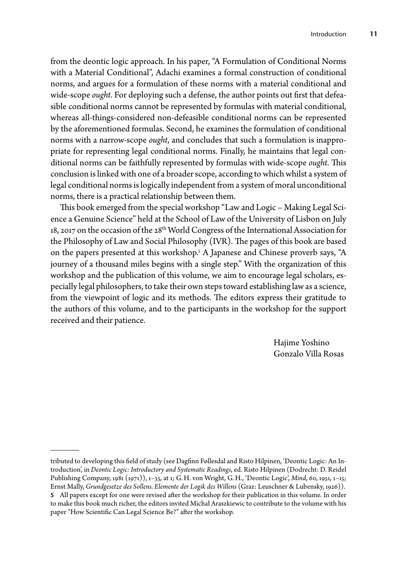from the deontic logic approach. In his paper, "A Formulation of Conditional Norms with a Material Conditional", Adachi examines a formal construction of conditional norms, and argues for a formulation of these norms with a material conditional and wide-scope *ought*. For deploying such a defense, the author points out first that defeasible conditional norms cannot be represented by formulas with material conditional, whereas all-things-considered non-defeasible conditional norms can be represented by the aforementioned formulas. Second, he examines the formulation of conditional norms with a narrow-scope *ought*, and concludes that such a formulation is inappropriate for representing legal conditional norms. Finally, he maintains that legal conditional norms can be faithfully represented by formulas with wide-scope *ought*. This conclusion is linked with one of a broader scope, according to which whilst a system of legal conditional norms is logically independent from a system of moral unconditional norms, there is a practical relationship between them.

This book emerged from the special workshop "Law and Logic – Making Legal Science a Genuine Science" held at the School of Law of the University of Lisbon on July 18, 2017 on the occasion of the 28<sup>th</sup> World Congress of the International Association for the Philosophy of Law and Social Philosophy (IVR). The pages of this book are based on the papers presented at this workshop. 5 A Japanese and Chinese proverb says, "A journey of a thousand miles begins with a single step." With the organization of this workshop and the publication of this volume, we aim to encourage legal scholars, especially legal philosophers, to take their own steps toward establishing law as a science, from the viewpoint of logic and its methods. The editors express their gratitude to the authors of this volume, and to the participants in the workshop for the support received and their patience.

> Hajime Yoshino Gonzalo Villa Rosas

tributed to developing this field of study (see Dagfinn Føllesdal and Risto Hilpinen, 'Deontic Logic: An Introduction', in *Deontic Logic: Introductory and Systematic Readings*, ed. Risto Hilpinen (Dodrecht: D. Reidel Publishing Company, 1981 (1971)), 1–35, at 1; G. H. von Wright, G. H., 'Deontic Logic', *Mind*, 60, 1951, 1–15; Ernst Mally, *Grundgesetze des Sollens. Elemente der Logik des Willens* (Graz: Leuschner & Lubensky, 1926)).

**<sup>5</sup>** All papers except for one were revised after the workshop for their publication in this volume. In order to make this book much richer, the editors invited Michał Araszkiewic to contribute to the volume with his paper *"*How Scientific Can Legal Science Be?" after the workshop.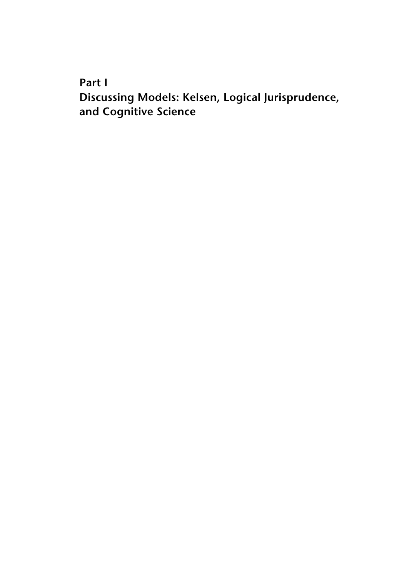**Part I**

**Discussing Models: Kelsen, Logical Jurisprudence, and Cognitive Science**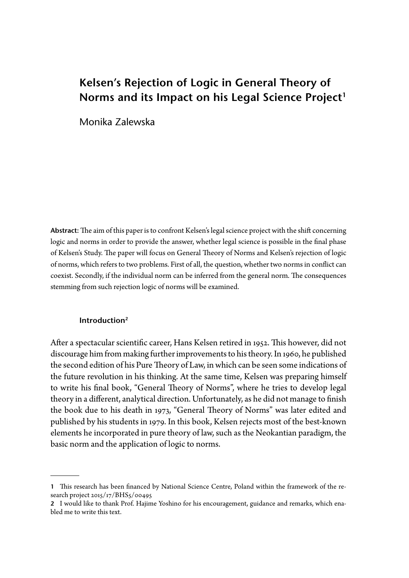# **Kelsen's Rejection of Logic in General Theory of**  Norms and its Impact on his Legal Science Project<sup>1</sup>

Monika Zalewska

**Abstract:** The aim of this paper is to confront Kelsen's legal science project with the shift concerning logic and norms in order to provide the answer, whether legal science is possible in the final phase of Kelsen's Study. The paper will focus on General Theory of Norms and Kelsen's rejection of logic of norms, which refers to two problems. First of all, the question, whether two norms in conflict can coexist. Secondly, if the individual norm can be inferred from the general norm. The consequences stemming from such rejection logic of norms will be examined.

#### **Introduction2**

After a spectacular scientific career, Hans Kelsen retired in 1952. This however, did not discourage him from making further improvements to his theory. In 1960, he published the second edition of his Pure Theory of Law, in which can be seen some indications of the future revolution in his thinking. At the same time, Kelsen was preparing himself to write his final book, "General Theory of Norms", where he tries to develop legal theory in a different, analytical direction. Unfortunately, as he did not manage to finish the book due to his death in 1973, "General Theory of Norms" was later edited and published by his students in 1979. In this book, Kelsen rejects most of the best-known elements he incorporated in pure theory of law, such as the Neokantian paradigm, the basic norm and the application of logic to norms.

**<sup>1</sup>** This research has been financed by National Science Centre, Poland within the framework of the research project 2015/17/BHS5/00495

**<sup>2</sup>** I would like to thank Prof. Hajime Yoshino for his encouragement, guidance and remarks, which enabled me to write this text.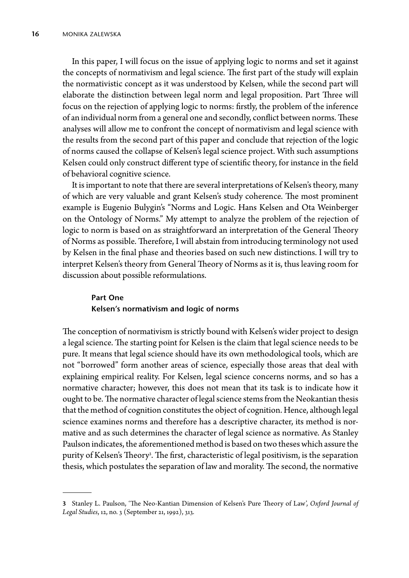In this paper, I will focus on the issue of applying logic to norms and set it against the concepts of normativism and legal science. The first part of the study will explain the normativistic concept as it was understood by Kelsen, while the second part will elaborate the distinction between legal norm and legal proposition. Part Three will focus on the rejection of applying logic to norms: firstly, the problem of the inference of an individual norm from a general one and secondly, conflict between norms. These analyses will allow me to confront the concept of normativism and legal science with the results from the second part of this paper and conclude that rejection of the logic of norms caused the collapse of Kelsen's legal science project. With such assumptions Kelsen could only construct different type of scientific theory, for instance in the field of behavioral cognitive science.

It is important to note that there are several interpretations of Kelsen's theory, many of which are very valuable and grant Kelsen's study coherence. The most prominent example is Eugenio Bulygin's "Norms and Logic. Hans Kelsen and Ota Weinberger on the Ontology of Norms." My attempt to analyze the problem of the rejection of logic to norm is based on as straightforward an interpretation of the General Theory of Norms as possible. Therefore, I will abstain from introducing terminology not used by Kelsen in the final phase and theories based on such new distinctions. I will try to interpret Kelsen's theory from General Theory of Norms as it is, thus leaving room for discussion about possible reformulations.

## **Part One Kelsen's normativism and logic of norms**

The conception of normativism is strictly bound with Kelsen's wider project to design a legal science. The starting point for Kelsen is the claim that legal science needs to be pure. It means that legal science should have its own methodological tools, which are not "borrowed" form another areas of science, especially those areas that deal with explaining empirical reality. For Kelsen, legal science concerns norms, and so has a normative character; however, this does not mean that its task is to indicate how it ought to be. The normative character of legal science stems from the Neokantian thesis that the method of cognition constitutes the object of cognition. Hence, although legal science examines norms and therefore has a descriptive character, its method is normative and as such determines the character of legal science as normative. As Stanley Paulson indicates, the aforementioned method is based on two theses which assure the purity of Kelsen's Theory<sup>3</sup>. The first, characteristic of legal positivism, is the separation thesis, which postulates the separation of law and morality. The second, the normative

**<sup>3</sup>** Stanley L. Paulson, 'The Neo-Kantian Dimension of Kelsen's Pure Theory of Law', *Oxford Journal of Legal Studies*, 12, no. 3 (September 21, 1992), 313.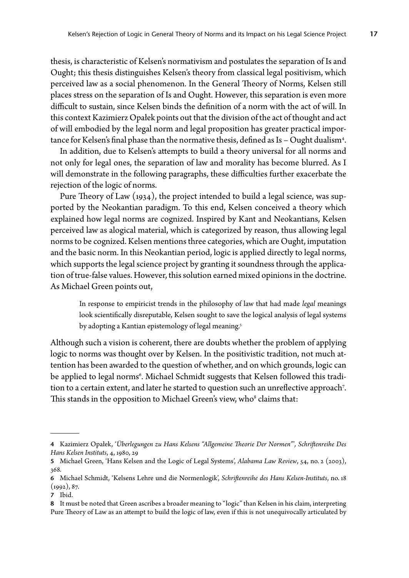thesis, is characteristic of Kelsen's normativism and postulates the separation of Is and Ought; this thesis distinguishes Kelsen's theory from classical legal positivism, which perceived law as a social phenomenon. In the General Theory of Norms, Kelsen still places stress on the separation of Is and Ought. However, this separation is even more difficult to sustain, since Kelsen binds the definition of a norm with the act of will. In this context Kazimierz Opałek points out that the division of the act of thought and act of will embodied by the legal norm and legal proposition has greater practical importance for Kelsen's final phase than the normative thesis, defined as Is – Ought dualism<sup>4</sup>.

In addition, due to Kelsen's attempts to build a theory universal for all norms and not only for legal ones, the separation of law and morality has become blurred. As I will demonstrate in the following paragraphs, these difficulties further exacerbate the rejection of the logic of norms.

Pure Theory of Law (1934), the project intended to build a legal science, was supported by the Neokantian paradigm. To this end, Kelsen conceived a theory which explained how legal norms are cognized. Inspired by Kant and Neokantians, Kelsen perceived law as alogical material, which is categorized by reason, thus allowing legal norms to be cognized. Kelsen mentions three categories, which are Ought, imputation and the basic norm. In this Neokantian period, logic is applied directly to legal norms, which supports the legal science project by granting it soundness through the application of true-false values. However, this solution earned mixed opinions in the doctrine. As Michael Green points out,

In response to empiricist trends in the philosophy of law that had made *legal* meanings look scientifically disreputable, Kelsen sought to save the logical analysis of legal systems by adopting a Kantian epistemology of legal meaning. 5

Although such a vision is coherent, there are doubts whether the problem of applying logic to norms was thought over by Kelsen. In the positivistic tradition, not much attention has been awarded to the question of whether, and on which grounds, logic can be applied to legal norms<sup>6</sup>. Michael Schmidt suggests that Kelsen followed this tradition to a certain extent, and later he started to question such an unreflective approach<sup>7</sup>. This stands in the opposition to Michael Green's view, who<sup>8</sup> claims that:

**<sup>4</sup>** Kazimierz Opałek, '*Überlegungen zu Hans Kelsens "Allgemeine Theorie Der Normen"*'*, Schriftenreihe Des Hans Kelsen Instituts*, 4, 1980, 29

**<sup>5</sup>** Michael Green, 'Hans Kelsen and the Logic of Legal Systems', *Alabama Law Review*, 54, no. 2 (2003), 368.

**<sup>6</sup>** Michael Schmidt, 'Kelsens Lehre und die Normenlogik', *Schriftenreihe des Hans Kelsen-Instituts*, no. 18  $(1992), 87.$ 

**<sup>7</sup>** Ibid.

**<sup>8</sup>** It must be noted that Green ascribes a broader meaning to "logic" than Kelsen in his claim, interpreting Pure Theory of Law as an attempt to build the logic of law, even if this is not unequivocally articulated by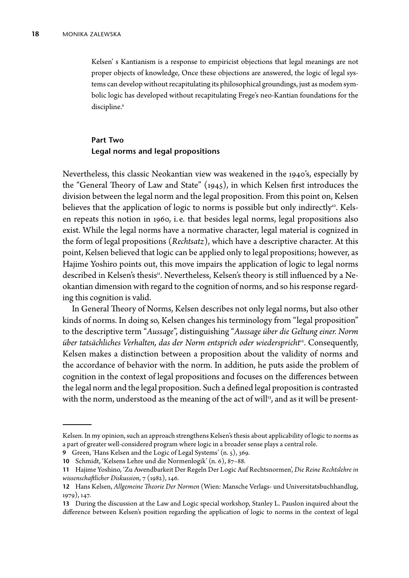Kelsen' s Kantianism is a response to empiricist objections that legal meanings are not proper objects of knowledge, Once these objections are answered, the logic of legal systems can develop without recapitulating its philosophical groundings, just as modem symbolic logic has developed without recapitulating Frege's neo-Kantian foundations for the discipline. 9

## **Part Two Legal norms and legal propositions**

Nevertheless, this classic Neokantian view was weakened in the 1940's, especially by the "General Theory of Law and State" (1945), in which Kelsen first introduces the division between the legal norm and the legal proposition. From this point on, Kelsen believes that the application of logic to norms is possible but only indirectly<sup>10</sup>. Kelsen repeats this notion in 1960, i. e. that besides legal norms, legal propositions also exist. While the legal norms have a normative character, legal material is cognized in the form of legal propositions (*Rechtsatz*), which have a descriptive character. At this point, Kelsen believed that logic can be applied only to legal propositions; however, as Hajime Yoshiro points out, this move impairs the application of logic to legal norms described in Kelsen's thesis<sup>11</sup>. Nevertheless, Kelsen's theory is still influenced by a Neokantian dimension with regard to the cognition of norms, and so his response regarding this cognition is valid.

In General Theory of Norms, Kelsen describes not only legal norms, but also other kinds of norms. In doing so, Kelsen changes his terminology from "legal proposition" to the descriptive term "*Aussage*", distinguishing "*Aussage über die Geltung einer. Norm über tatsächliches Verhalten, das der Norm entsprich oder wiederspricht*12. Consequently, Kelsen makes a distinction between a proposition about the validity of norms and the accordance of behavior with the norm. In addition, he puts aside the problem of cognition in the context of legal propositions and focuses on the differences between the legal norm and the legal proposition. Such a defined legal proposition is contrasted with the norm, understood as the meaning of the act of will $\mu$ <sup>3</sup>, and as it will be present-

Kelsen. In my opinion, such an approach strengthens Kelsen's thesis about applicability of logic to norms as a part of greater well-considered program where logic in a broader sense plays a central role.

**<sup>9</sup>** Green, 'Hans Kelsen and the Logic of Legal Systems' (n. 5), 369.

**<sup>10</sup>** Schmidt, 'Kelsens Lehre und die Normenlogik' (n. 6), 87–88.

**<sup>11</sup>** Hajime Yoshino, 'Zu Awendbarkeit Der Regeln Der Logic Auf Rechtsnormen', *Die Reine Rechtslehre in wissenschaftlicher Diskussion*, 7 (1982), 146.

**<sup>12</sup>** Hans Kelsen, *Allgemeine Theorie Der Normen* (Wien: Mansche Verlags- und Universitatsbuchhandlug, 1979), 147.

**<sup>13</sup>** During the discussion at the Law and Logic special workshop, Stanley L. Pauslon inquired about the difference between Kelsen's position regarding the application of logic to norms in the context of legal